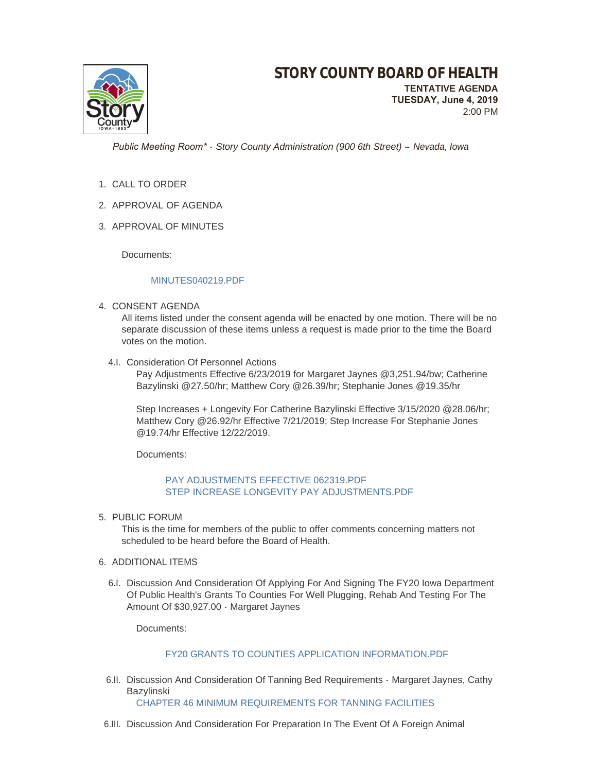

 *Public Meeting Room\* - Story County Administration (900 6th Street) – Nevada, Iowa*

- 1. CALL TO ORDER
- 2. APPROVAL OF AGENDA
- 3. APPROVAL OF MINUTES

Documents:

#### [MINUTES040219.PDF](http://www.storycountyiowa.gov/AgendaCenter/ViewFile/Item/14806?fileID=11450)

4. CONSENT AGENDA

All items listed under the consent agenda will be enacted by one motion. There will be no separate discussion of these items unless a request is made prior to the time the Board votes on the motion.

4.I. Consideration Of Personnel Actions

Pay Adjustments Effective 6/23/2019 for Margaret Jaynes @3,251.94/bw; Catherine Bazylinski @27.50/hr; Matthew Cory @26.39/hr; Stephanie Jones @19.35/hr

Step Increases + Longevity For Catherine Bazylinski Effective 3/15/2020 @28.06/hr; Matthew Cory @26.92/hr Effective 7/21/2019; Step Increase For Stephanie Jones @19.74/hr Effective 12/22/2019.

Documents:

## PAY ADJUSTMENTS EFFECTIVE 062319 PDF [STEP INCREASE LONGEVITY PAY ADJUSTMENTS.PDF](http://www.storycountyiowa.gov/AgendaCenter/ViewFile/Item/14803?fileID=11440)

5. PUBLIC FORUM

This is the time for members of the public to offer comments concerning matters not scheduled to be heard before the Board of Health.

- 6. ADDITIONAL ITEMS
	- 6.I. Discussion And Consideration Of Applying For And Signing The FY20 lowa Department Of Public Health's Grants To Counties For Well Plugging, Rehab And Testing For The Amount Of \$30,927.00 - Margaret Jaynes

Documents:

## [FY20 GRANTS TO COUNTIES APPLICATION INFORMATION.PDF](http://www.storycountyiowa.gov/AgendaCenter/ViewFile/Item/14800?fileID=11451)

6.II. Discussion And Consideration Of Tanning Bed Requirements - Margaret Jaynes, Cathy Bazylinski

[CHAPTER 46 MINIMUM REQUIREMENTS FOR TANNING FACILITIES](https://www.legis.iowa.gov/docs/ACO/chapter/641.46.pdf)

6.III. Discussion And Consideration For Preparation In The Event Of A Foreign Animal